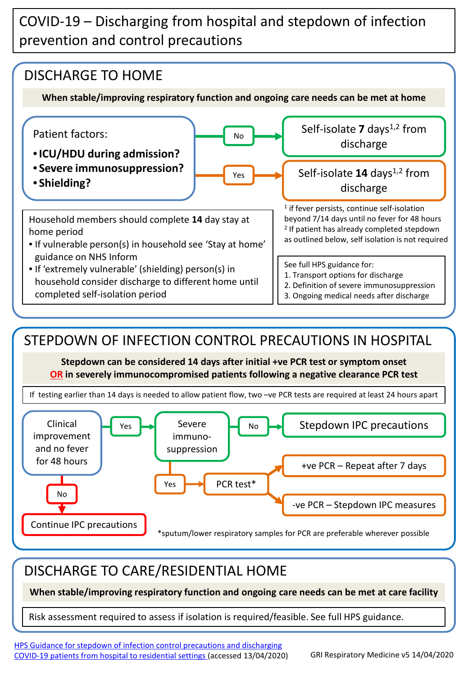#### COVID-19 – Discharging from hospital and stepdown of infection prevention and control precautions



#### STEPDOWN OF INFECTION CONTROL PRECAUTIONS IN HOSPITAL Stepdown IPC precautions +ve PCR – Repeat after 7 days -ve PCR – Stepdown IPC measures \*sputum/lower respiratory samples for PCR are preferable wherever possible **Stepdown can be considered 14 days after initial +ve PCR test or symptom onset OR in severely immunocompromised patients following a negative clearance PCR test** Yes  $Yes$  Severe  $\Box$  No Continue IPC precautions No immunosuppression Clinical improvement and no fever for 48 hours PCR test\* If testing earlier than 14 days is needed to allow patient flow, two –ve PCR tests are required at least 24 hours apart

#### DISCHARGE TO CARE/RESIDENTIAL HOME

**When stable/improving respiratory function and ongoing care needs can be met at care facility**

Risk assessment required to assess if isolation is required/feasible. See full HPS guidance.